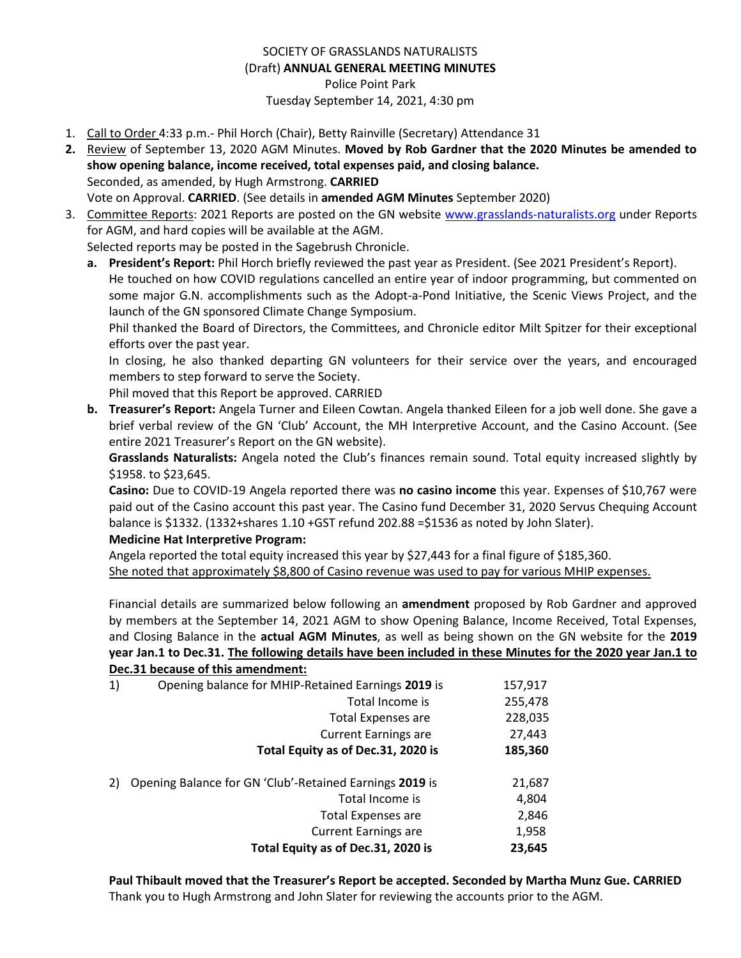## SOCIETY OF GRASSLANDS NATURALISTS (Draft) **ANNUAL GENERAL MEETING MINUTES** Police Point Park Tuesday September 14, 2021, 4:30 pm

- 1. Call to Order 4:33 p.m.- Phil Horch (Chair), Betty Rainville (Secretary) Attendance 31
- **2.** Review of September 13, 2020 AGM Minutes. **Moved by Rob Gardner that the 2020 Minutes be amended to show opening balance, income received, total expenses paid, and closing balance.** Seconded, as amended, by Hugh Armstrong. **CARRIED** Vote on Approval. **CARRIED**. (See details in **amended AGM Minutes** September 2020)
- 3. Committee Reports: 2021 Reports are posted on the GN website [www.grasslands-naturalists.org](http://www.grasslands-naturalists.org/) under Reports for AGM, and hard copies will be available at the AGM.

Selected reports may be posted in the Sagebrush Chronicle.

**a. President's Report:** Phil Horch briefly reviewed the past year as President. (See 2021 President's Report). He touched on how COVID regulations cancelled an entire year of indoor programming, but commented on some major G.N. accomplishments such as the Adopt-a-Pond Initiative, the Scenic Views Project, and the launch of the GN sponsored Climate Change Symposium.

Phil thanked the Board of Directors, the Committees, and Chronicle editor Milt Spitzer for their exceptional efforts over the past year.

In closing, he also thanked departing GN volunteers for their service over the years, and encouraged members to step forward to serve the Society.

Phil moved that this Report be approved. CARRIED

**b. Treasurer's Report:** Angela Turner and Eileen Cowtan. Angela thanked Eileen for a job well done. She gave a brief verbal review of the GN 'Club' Account, the MH Interpretive Account, and the Casino Account. (See entire 2021 Treasurer's Report on the GN website).

**Grasslands Naturalists:** Angela noted the Club's finances remain sound. Total equity increased slightly by \$1958. to \$23,645.

**Casino:** Due to COVID-19 Angela reported there was **no casino income** this year. Expenses of \$10,767 were paid out of the Casino account this past year. The Casino fund December 31, 2020 Servus Chequing Account balance is \$1332. (1332+shares 1.10 +GST refund 202.88 =\$1536 as noted by John Slater).

## **Medicine Hat Interpretive Program:**

Angela reported the total equity increased this year by \$27,443 for a final figure of \$185,360. She noted that approximately \$8,800 of Casino revenue was used to pay for various MHIP expenses.

Financial details are summarized below following an **amendment** proposed by Rob Gardner and approved by members at the September 14, 2021 AGM to show Opening Balance, Income Received, Total Expenses, and Closing Balance in the **actual AGM Minutes**, as well as being shown on the GN website for the **2019 year Jan.1 to Dec.31. The following details have been included in these Minutes for the 2020 year Jan.1 to Dec.31 because of this amendment:**

|    | Decisi Decadoe or this annenament.                      |         |
|----|---------------------------------------------------------|---------|
| 1) | Opening balance for MHIP-Retained Earnings 2019 is      | 157,917 |
|    | Total Income is                                         | 255,478 |
|    | <b>Total Expenses are</b>                               | 228,035 |
|    | <b>Current Earnings are</b>                             | 27,443  |
|    | Total Equity as of Dec.31, 2020 is                      | 185,360 |
| 2) | Opening Balance for GN 'Club'-Retained Earnings 2019 is | 21,687  |
|    | Total Income is                                         | 4,804   |
|    | <b>Total Expenses are</b>                               | 2,846   |
|    | <b>Current Earnings are</b>                             | 1,958   |
|    | Total Equity as of Dec.31, 2020 is                      | 23,645  |
|    |                                                         |         |

**Paul Thibault moved that the Treasurer's Report be accepted. Seconded by Martha Munz Gue. CARRIED** Thank you to Hugh Armstrong and John Slater for reviewing the accounts prior to the AGM.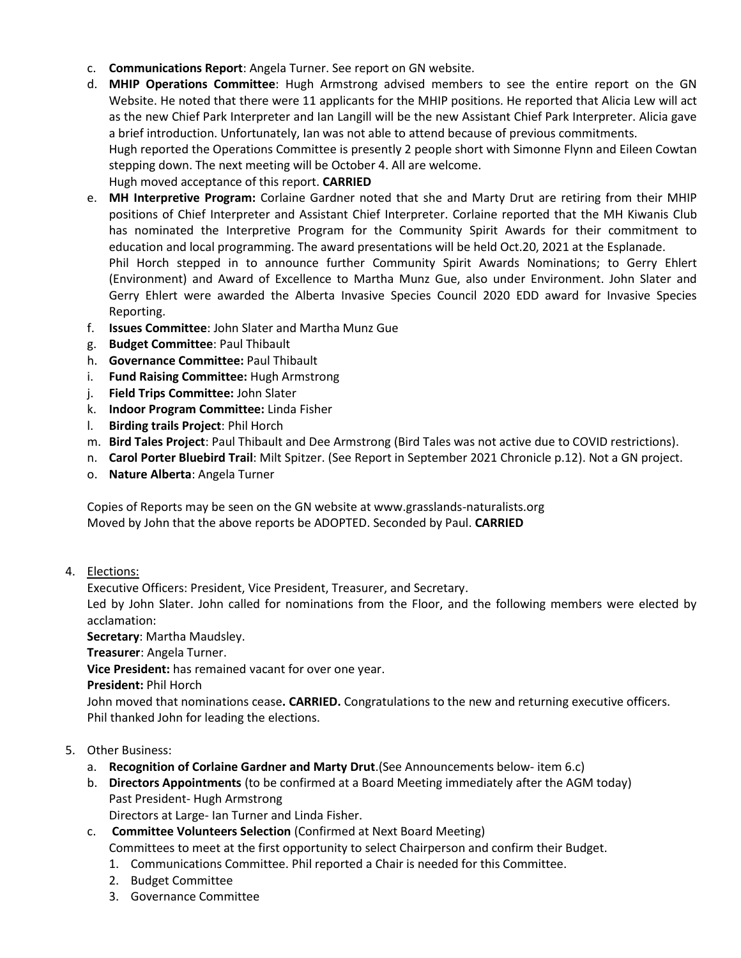- c. **Communications Report**: Angela Turner. See report on GN website.
- d. **MHIP Operations Committee**: Hugh Armstrong advised members to see the entire report on the GN Website. He noted that there were 11 applicants for the MHIP positions. He reported that Alicia Lew will act as the new Chief Park Interpreter and Ian Langill will be the new Assistant Chief Park Interpreter. Alicia gave a brief introduction. Unfortunately, Ian was not able to attend because of previous commitments. Hugh reported the Operations Committee is presently 2 people short with Simonne Flynn and Eileen Cowtan stepping down. The next meeting will be October 4. All are welcome. Hugh moved acceptance of this report. **CARRIED**
- e. **MH Interpretive Program:** Corlaine Gardner noted that she and Marty Drut are retiring from their MHIP positions of Chief Interpreter and Assistant Chief Interpreter. Corlaine reported that the MH Kiwanis Club has nominated the Interpretive Program for the Community Spirit Awards for their commitment to education and local programming. The award presentations will be held Oct.20, 2021 at the Esplanade. Phil Horch stepped in to announce further Community Spirit Awards Nominations; to Gerry Ehlert (Environment) and Award of Excellence to Martha Munz Gue, also under Environment. John Slater and Gerry Ehlert were awarded the Alberta Invasive Species Council 2020 EDD award for Invasive Species Reporting.
- f. **Issues Committee**: John Slater and Martha Munz Gue
- g. **Budget Committee**: Paul Thibault
- h. **Governance Committee:** Paul Thibault
- i. **Fund Raising Committee:** Hugh Armstrong
- j. **Field Trips Committee:** John Slater
- k. **Indoor Program Committee:** Linda Fisher
- l. **Birding trails Project**: Phil Horch
- m. **Bird Tales Project**: Paul Thibault and Dee Armstrong (Bird Tales was not active due to COVID restrictions).
- n. **Carol Porter Bluebird Trail**: Milt Spitzer. (See Report in September 2021 Chronicle p.12). Not a GN project.
- o. **Nature Alberta**: Angela Turner

Copies of Reports may be seen on the GN website at www.grasslands-naturalists.org Moved by John that the above reports be ADOPTED. Seconded by Paul. **CARRIED**

4. Elections:

Executive Officers: President, Vice President, Treasurer, and Secretary.

Led by John Slater. John called for nominations from the Floor, and the following members were elected by acclamation:

**Secretary**: Martha Maudsley.

**Treasurer**: Angela Turner.

**Vice President:** has remained vacant for over one year.

**President:** Phil Horch

John moved that nominations cease**. CARRIED.** Congratulations to the new and returning executive officers. Phil thanked John for leading the elections.

- 5. Other Business:
	- a. **Recognition of Corlaine Gardner and Marty Drut**.(See Announcements below- item 6.c)
	- b. **Directors Appointments** (to be confirmed at a Board Meeting immediately after the AGM today) Past President- Hugh Armstrong

Directors at Large- Ian Turner and Linda Fisher.

c. **Committee Volunteers Selection** (Confirmed at Next Board Meeting)

Committees to meet at the first opportunity to select Chairperson and confirm their Budget.

- 1. Communications Committee. Phil reported a Chair is needed for this Committee.
- 2. Budget Committee
- 3. Governance Committee